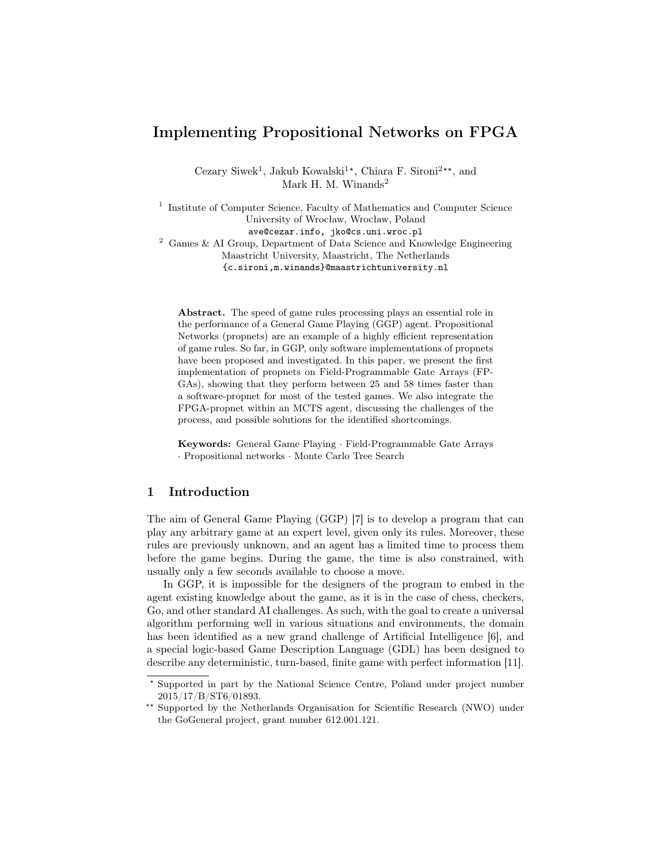# Implementing Propositional Networks on FPGA

Cezary Siwek<sup>1</sup>, Jakub Kowalski<sup>1\*</sup>, Chiara F. Sironi<sup>2\*\*</sup>, and Mark H. M. Winands<sup>2</sup>

<sup>1</sup> Institute of Computer Science, Faculty of Mathematics and Computer Science University of Wrocław, Wrocław, Poland ave@cezar.info, jko@cs.uni.wroc.pl <sup>2</sup> Games & AI Group, Department of Data Science and Knowledge Engineering Maastricht University, Maastricht, The Netherlands {c.sironi,m.winands}@maastrichtuniversity.nl

Abstract. The speed of game rules processing plays an essential role in the performance of a General Game Playing (GGP) agent. Propositional Networks (propnets) are an example of a highly efficient representation of game rules. So far, in GGP, only software implementations of propnets have been proposed and investigated. In this paper, we present the first implementation of propnets on Field-Programmable Gate Arrays (FP-GAs), showing that they perform between 25 and 58 times faster than a software-propnet for most of the tested games. We also integrate the FPGA-propnet within an MCTS agent, discussing the challenges of the process, and possible solutions for the identified shortcomings.

Keywords: General Game Playing · Field-Programmable Gate Arrays · Propositional networks · Monte Carlo Tree Search

# 1 Introduction

The aim of General Game Playing (GGP) [7] is to develop a program that can play any arbitrary game at an expert level, given only its rules. Moreover, these rules are previously unknown, and an agent has a limited time to process them before the game begins. During the game, the time is also constrained, with usually only a few seconds available to choose a move.

In GGP, it is impossible for the designers of the program to embed in the agent existing knowledge about the game, as it is in the case of chess, checkers, Go, and other standard AI challenges. As such, with the goal to create a universal algorithm performing well in various situations and environments, the domain has been identified as a new grand challenge of Artificial Intelligence [6], and a special logic-based Game Description Language (GDL) has been designed to describe any deterministic, turn-based, finite game with perfect information [11].

<sup>?</sup> Supported in part by the National Science Centre, Poland under project number 2015/17/B/ST6/01893.

<sup>\*\*</sup> Supported by the Netherlands Organisation for Scientific Research (NWO) under the GoGeneral project, grant number 612.001.121.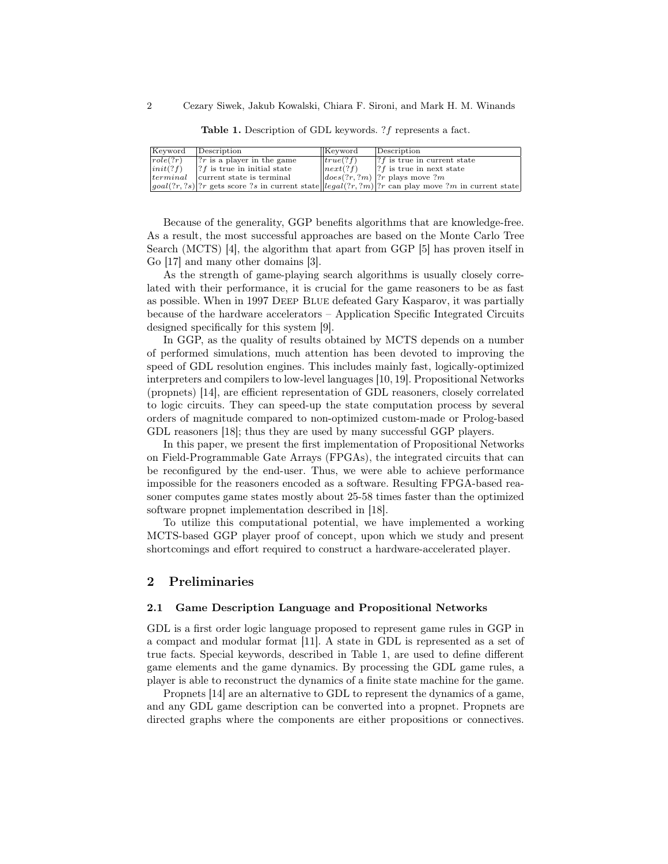| Keyword                  | Description                                              | Keyword                   | Description                                                                                             |
|--------------------------|----------------------------------------------------------|---------------------------|---------------------------------------------------------------------------------------------------------|
| role(?r)                 | $\left  \mathcal{C}_{r} \right $ is a player in the game | true(?f)                  | $? f$ is true in current state                                                                          |
| $\left init(?f)\right $  | $? f$ is true in initial state                           | $\left  \right $ next(?f) | $? f$ is true in next state                                                                             |
| $\lvert terminal \rvert$ | current state is terminal                                |                           | $\left  \text{does}(?r, ?m) \right $ ? plays move ? <i>m</i>                                            |
|                          |                                                          |                           | $ goal(?r, ?s) $ ? gets score ?s in current state $ legal(?r, ?m) $ ? can play move ?m in current state |

Table 1. Description of GDL keywords. ?f represents a fact.

Because of the generality, GGP benefits algorithms that are knowledge-free. As a result, the most successful approaches are based on the Monte Carlo Tree Search (MCTS) [4], the algorithm that apart from GGP [5] has proven itself in Go [17] and many other domains [3].

As the strength of game-playing search algorithms is usually closely correlated with their performance, it is crucial for the game reasoners to be as fast as possible. When in 1997 Deep Blue defeated Gary Kasparov, it was partially because of the hardware accelerators – Application Specific Integrated Circuits designed specifically for this system [9].

In GGP, as the quality of results obtained by MCTS depends on a number of performed simulations, much attention has been devoted to improving the speed of GDL resolution engines. This includes mainly fast, logically-optimized interpreters and compilers to low-level languages [10, 19]. Propositional Networks (propnets) [14], are efficient representation of GDL reasoners, closely correlated to logic circuits. They can speed-up the state computation process by several orders of magnitude compared to non-optimized custom-made or Prolog-based GDL reasoners [18]; thus they are used by many successful GGP players.

In this paper, we present the first implementation of Propositional Networks on Field-Programmable Gate Arrays (FPGAs), the integrated circuits that can be reconfigured by the end-user. Thus, we were able to achieve performance impossible for the reasoners encoded as a software. Resulting FPGA-based reasoner computes game states mostly about 25-58 times faster than the optimized software propnet implementation described in [18].

To utilize this computational potential, we have implemented a working MCTS-based GGP player proof of concept, upon which we study and present shortcomings and effort required to construct a hardware-accelerated player.

# 2 Preliminaries

#### 2.1 Game Description Language and Propositional Networks

GDL is a first order logic language proposed to represent game rules in GGP in a compact and modular format [11]. A state in GDL is represented as a set of true facts. Special keywords, described in Table 1, are used to define different game elements and the game dynamics. By processing the GDL game rules, a player is able to reconstruct the dynamics of a finite state machine for the game.

Propnets [14] are an alternative to GDL to represent the dynamics of a game, and any GDL game description can be converted into a propnet. Propnets are directed graphs where the components are either propositions or connectives.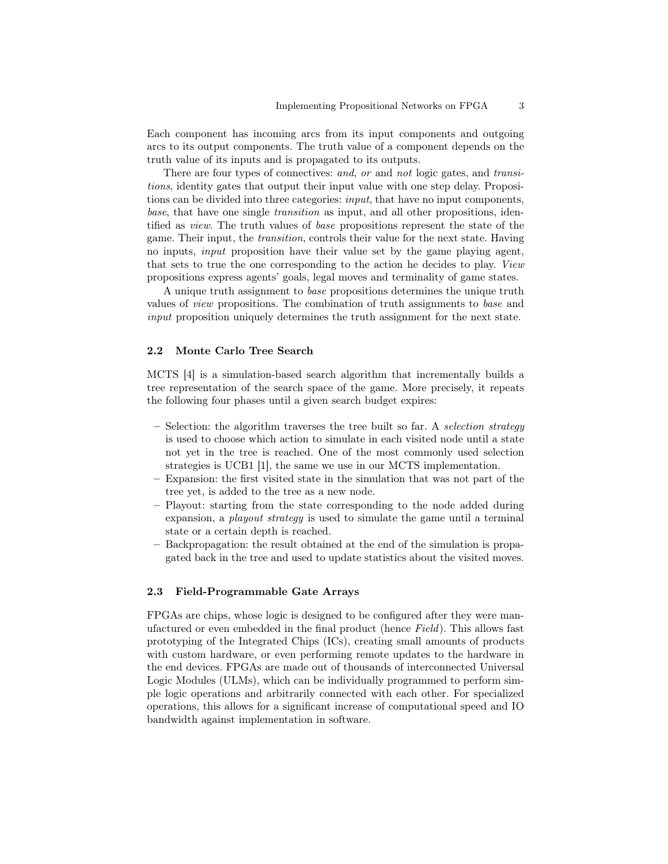Each component has incoming arcs from its input components and outgoing arcs to its output components. The truth value of a component depends on the truth value of its inputs and is propagated to its outputs.

There are four types of connectives: and, or and not logic gates, and transitions, identity gates that output their input value with one step delay. Propositions can be divided into three categories: input, that have no input components, base, that have one single transition as input, and all other propositions, identified as view. The truth values of base propositions represent the state of the game. Their input, the transition, controls their value for the next state. Having no inputs, input proposition have their value set by the game playing agent, that sets to true the one corresponding to the action he decides to play. View propositions express agents' goals, legal moves and terminality of game states.

A unique truth assignment to base propositions determines the unique truth values of view propositions. The combination of truth assignments to base and input proposition uniquely determines the truth assignment for the next state.

#### 2.2 Monte Carlo Tree Search

MCTS [4] is a simulation-based search algorithm that incrementally builds a tree representation of the search space of the game. More precisely, it repeats the following four phases until a given search budget expires:

- $-$  Selection: the algorithm traverses the tree built so far. A selection strategy is used to choose which action to simulate in each visited node until a state not yet in the tree is reached. One of the most commonly used selection strategies is UCB1 [1], the same we use in our MCTS implementation.
- Expansion: the first visited state in the simulation that was not part of the tree yet, is added to the tree as a new node.
- Playout: starting from the state corresponding to the node added during expansion, a playout strategy is used to simulate the game until a terminal state or a certain depth is reached.
- Backpropagation: the result obtained at the end of the simulation is propagated back in the tree and used to update statistics about the visited moves.

#### 2.3 Field-Programmable Gate Arrays

FPGAs are chips, whose logic is designed to be configured after they were manufactured or even embedded in the final product (hence Field). This allows fast prototyping of the Integrated Chips (ICs), creating small amounts of products with custom hardware, or even performing remote updates to the hardware in the end devices. FPGAs are made out of thousands of interconnected Universal Logic Modules (ULMs), which can be individually programmed to perform simple logic operations and arbitrarily connected with each other. For specialized operations, this allows for a significant increase of computational speed and IO bandwidth against implementation in software.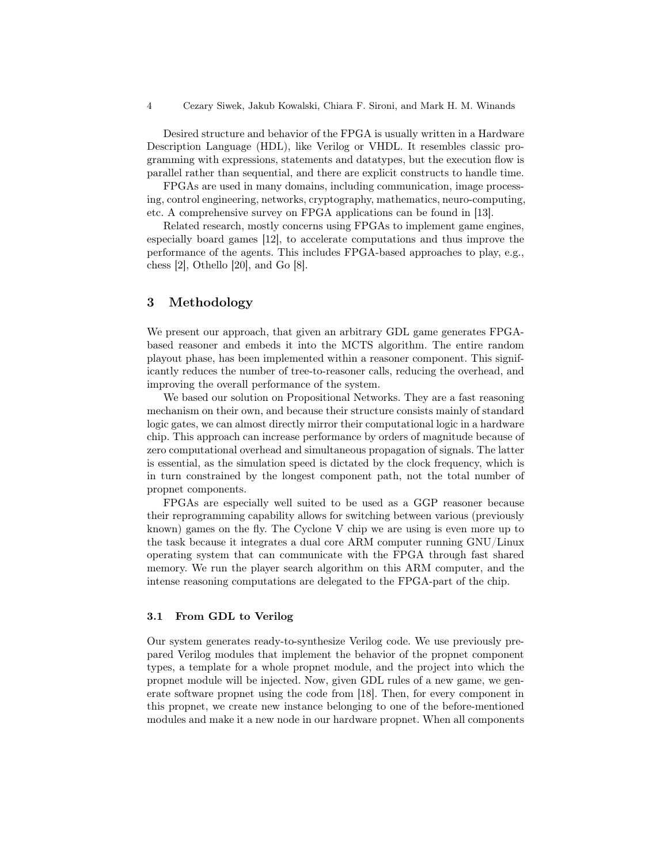Desired structure and behavior of the FPGA is usually written in a Hardware Description Language (HDL), like Verilog or VHDL. It resembles classic programming with expressions, statements and datatypes, but the execution flow is parallel rather than sequential, and there are explicit constructs to handle time.

FPGAs are used in many domains, including communication, image processing, control engineering, networks, cryptography, mathematics, neuro-computing, etc. A comprehensive survey on FPGA applications can be found in [13].

Related research, mostly concerns using FPGAs to implement game engines, especially board games [12], to accelerate computations and thus improve the performance of the agents. This includes FPGA-based approaches to play, e.g., chess [2], Othello [20], and Go [8].

# 3 Methodology

We present our approach, that given an arbitrary GDL game generates FPGAbased reasoner and embeds it into the MCTS algorithm. The entire random playout phase, has been implemented within a reasoner component. This significantly reduces the number of tree-to-reasoner calls, reducing the overhead, and improving the overall performance of the system.

We based our solution on Propositional Networks. They are a fast reasoning mechanism on their own, and because their structure consists mainly of standard logic gates, we can almost directly mirror their computational logic in a hardware chip. This approach can increase performance by orders of magnitude because of zero computational overhead and simultaneous propagation of signals. The latter is essential, as the simulation speed is dictated by the clock frequency, which is in turn constrained by the longest component path, not the total number of propnet components.

FPGAs are especially well suited to be used as a GGP reasoner because their reprogramming capability allows for switching between various (previously known) games on the fly. The Cyclone V chip we are using is even more up to the task because it integrates a dual core ARM computer running GNU/Linux operating system that can communicate with the FPGA through fast shared memory. We run the player search algorithm on this ARM computer, and the intense reasoning computations are delegated to the FPGA-part of the chip.

### 3.1 From GDL to Verilog

Our system generates ready-to-synthesize Verilog code. We use previously prepared Verilog modules that implement the behavior of the propnet component types, a template for a whole propnet module, and the project into which the propnet module will be injected. Now, given GDL rules of a new game, we generate software propnet using the code from [18]. Then, for every component in this propnet, we create new instance belonging to one of the before-mentioned modules and make it a new node in our hardware propnet. When all components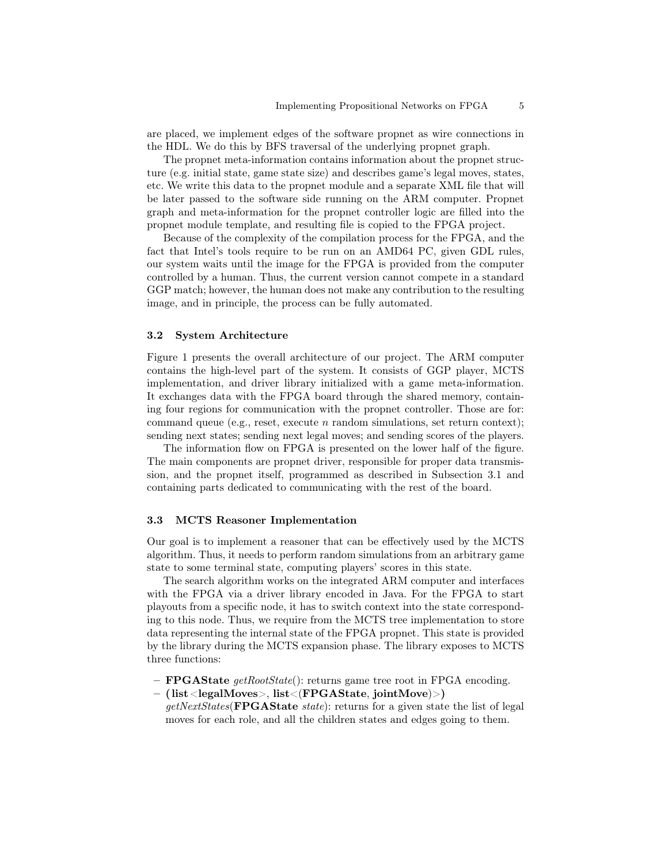are placed, we implement edges of the software propnet as wire connections in the HDL. We do this by BFS traversal of the underlying propnet graph.

The propnet meta-information contains information about the propnet structure (e.g. initial state, game state size) and describes game's legal moves, states, etc. We write this data to the propnet module and a separate XML file that will be later passed to the software side running on the ARM computer. Propnet graph and meta-information for the propnet controller logic are filled into the propnet module template, and resulting file is copied to the FPGA project.

Because of the complexity of the compilation process for the FPGA, and the fact that Intel's tools require to be run on an AMD64 PC, given GDL rules, our system waits until the image for the FPGA is provided from the computer controlled by a human. Thus, the current version cannot compete in a standard GGP match; however, the human does not make any contribution to the resulting image, and in principle, the process can be fully automated.

#### 3.2 System Architecture

Figure 1 presents the overall architecture of our project. The ARM computer contains the high-level part of the system. It consists of GGP player, MCTS implementation, and driver library initialized with a game meta-information. It exchanges data with the FPGA board through the shared memory, containing four regions for communication with the propnet controller. Those are for: command queue (e.g., reset, execute  $n$  random simulations, set return context); sending next states; sending next legal moves; and sending scores of the players.

The information flow on FPGA is presented on the lower half of the figure. The main components are propnet driver, responsible for proper data transmission, and the propnet itself, programmed as described in Subsection 3.1 and containing parts dedicated to communicating with the rest of the board.

#### 3.3 MCTS Reasoner Implementation

Our goal is to implement a reasoner that can be effectively used by the MCTS algorithm. Thus, it needs to perform random simulations from an arbitrary game state to some terminal state, computing players' scores in this state.

The search algorithm works on the integrated ARM computer and interfaces with the FPGA via a driver library encoded in Java. For the FPGA to start playouts from a specific node, it has to switch context into the state corresponding to this node. Thus, we require from the MCTS tree implementation to store data representing the internal state of the FPGA propnet. This state is provided by the library during the MCTS expansion phase. The library exposes to MCTS three functions:

- $-$  FPGAState getRootState(): returns game tree root in FPGA encoding.
- ( list<legalMoves>, list<(FPGAState, jointMove)>)
- $getNextStates(\textbf{FPGAState state})$ : returns for a given state the list of legal moves for each role, and all the children states and edges going to them.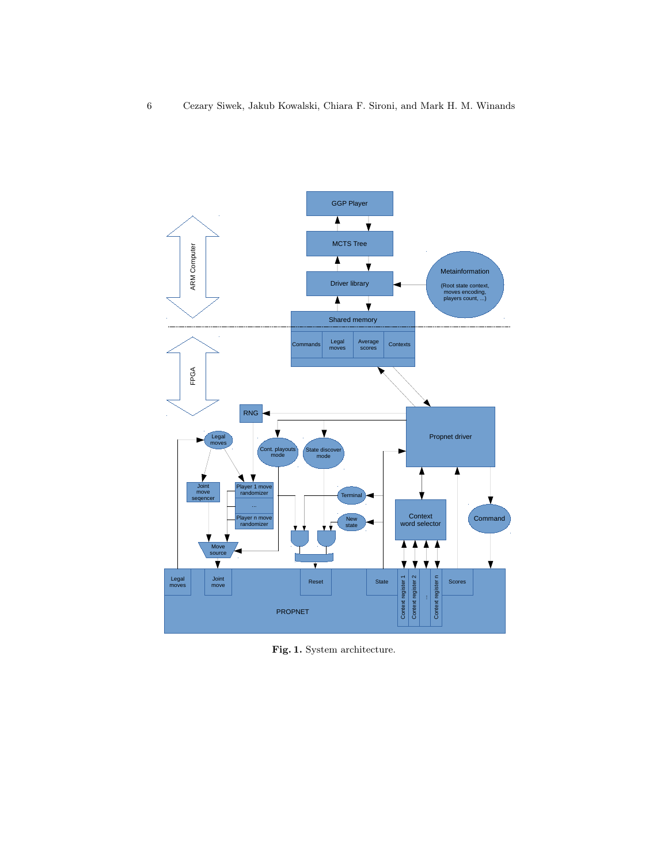

Fig. 1. System architecture.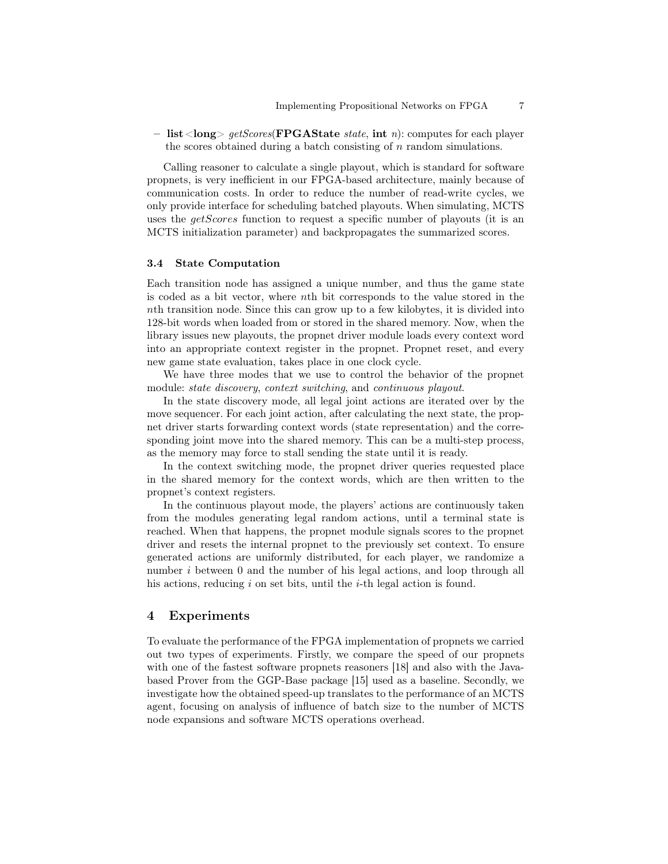– list  $\langle \text{long} \rangle$  getScores(**FPGAState** state, int n): computes for each player the scores obtained during a batch consisting of  $n$  random simulations.

Calling reasoner to calculate a single playout, which is standard for software propnets, is very inefficient in our FPGA-based architecture, mainly because of communication costs. In order to reduce the number of read-write cycles, we only provide interface for scheduling batched playouts. When simulating, MCTS uses the *getScores* function to request a specific number of playouts (it is an MCTS initialization parameter) and backpropagates the summarized scores.

#### 3.4 State Computation

Each transition node has assigned a unique number, and thus the game state is coded as a bit vector, where nth bit corresponds to the value stored in the nth transition node. Since this can grow up to a few kilobytes, it is divided into 128-bit words when loaded from or stored in the shared memory. Now, when the library issues new playouts, the propnet driver module loads every context word into an appropriate context register in the propnet. Propnet reset, and every new game state evaluation, takes place in one clock cycle.

We have three modes that we use to control the behavior of the propnet module: *state discovery, context switching,* and *continuous playout.* 

In the state discovery mode, all legal joint actions are iterated over by the move sequencer. For each joint action, after calculating the next state, the propnet driver starts forwarding context words (state representation) and the corresponding joint move into the shared memory. This can be a multi-step process, as the memory may force to stall sending the state until it is ready.

In the context switching mode, the propnet driver queries requested place in the shared memory for the context words, which are then written to the propnet's context registers.

In the continuous playout mode, the players' actions are continuously taken from the modules generating legal random actions, until a terminal state is reached. When that happens, the propnet module signals scores to the propnet driver and resets the internal propnet to the previously set context. To ensure generated actions are uniformly distributed, for each player, we randomize a number *i* between 0 and the number of his legal actions, and loop through all his actions, reducing  $i$  on set bits, until the  $i$ -th legal action is found.

#### 4 Experiments

To evaluate the performance of the FPGA implementation of propnets we carried out two types of experiments. Firstly, we compare the speed of our propnets with one of the fastest software propnets reasoners [18] and also with the Javabased Prover from the GGP-Base package [15] used as a baseline. Secondly, we investigate how the obtained speed-up translates to the performance of an MCTS agent, focusing on analysis of influence of batch size to the number of MCTS node expansions and software MCTS operations overhead.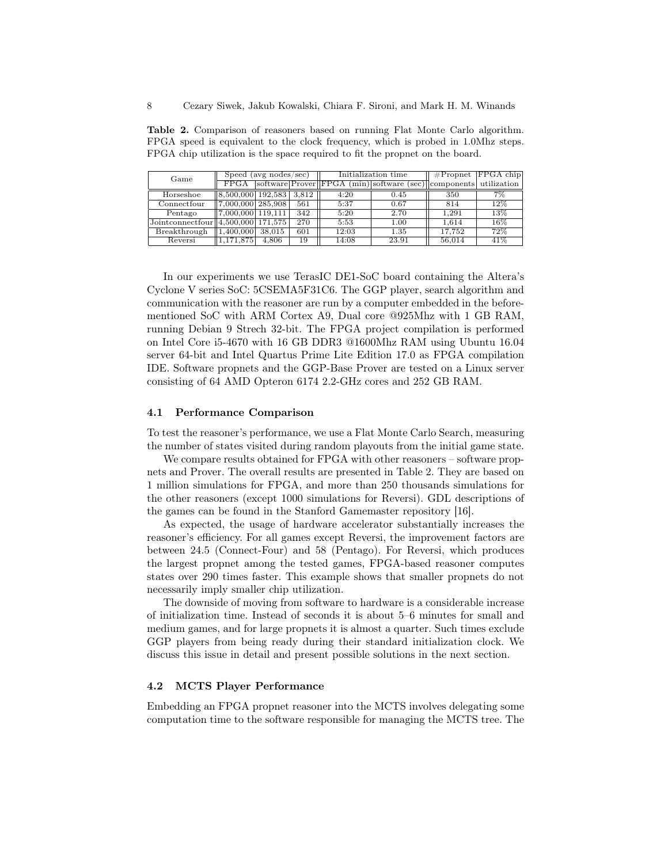Table 2. Comparison of reasoners based on running Flat Monte Carlo algorithm. FPGA speed is equivalent to the clock frequency, which is probed in 1.0Mhz steps. FPGA chip utilization is the space required to fit the propnet on the board.

| Game                                               | Speed (avg nodes/sec)       |        | Initialization time |       |                                                                  | $\#$ Propnet   FPGA chip |     |
|----------------------------------------------------|-----------------------------|--------|---------------------|-------|------------------------------------------------------------------|--------------------------|-----|
|                                                    | $_{\rm FPGA}$               |        |                     |       | software Prover FPGA (min) software (sec) components utilization |                          |     |
| Horseshoe                                          | 8,500,000   192,583   3,812 |        |                     | 4:20  | 0.45                                                             | 350                      | 7%  |
| Connectfour                                        | 17.000.0001285.9081         |        | 561                 | 5:37  | 0.67                                                             | 814                      | 12% |
| Pentago                                            | 7,000,000 119,111           |        | 342                 | 5:20  | 2.70                                                             | 1.291                    | 13% |
| Jointconnectfour $  \overline{4,500,000} $ 171.575 |                             |        | 270                 | 5:53  | 1.00                                                             | 1.614                    | 16% |
| Breakthrough                                       | 1,400,000                   | 38.015 | 601                 | 12:03 | 1.35                                                             | 17.752                   | 72% |
| Reversi                                            | 1,171,875                   | 4.806  | 19                  | 14:08 | 23.91                                                            | 56,014                   | 41% |

In our experiments we use TerasIC DE1-SoC board containing the Altera's Cyclone V series SoC: 5CSEMA5F31C6. The GGP player, search algorithm and communication with the reasoner are run by a computer embedded in the beforementioned SoC with ARM Cortex A9, Dual core @925Mhz with 1 GB RAM, running Debian 9 Strech 32-bit. The FPGA project compilation is performed on Intel Core i5-4670 with 16 GB DDR3 @1600Mhz RAM using Ubuntu 16.04 server 64-bit and Intel Quartus Prime Lite Edition 17.0 as FPGA compilation IDE. Software propnets and the GGP-Base Prover are tested on a Linux server consisting of 64 AMD Opteron 6174 2.2-GHz cores and 252 GB RAM.

#### 4.1 Performance Comparison

To test the reasoner's performance, we use a Flat Monte Carlo Search, measuring the number of states visited during random playouts from the initial game state.

We compare results obtained for FPGA with other reasoners – software propnets and Prover. The overall results are presented in Table 2. They are based on 1 million simulations for FPGA, and more than 250 thousands simulations for the other reasoners (except 1000 simulations for Reversi). GDL descriptions of the games can be found in the Stanford Gamemaster repository [16].

As expected, the usage of hardware accelerator substantially increases the reasoner's efficiency. For all games except Reversi, the improvement factors are between 24.5 (Connect-Four) and 58 (Pentago). For Reversi, which produces the largest propnet among the tested games, FPGA-based reasoner computes states over 290 times faster. This example shows that smaller propnets do not necessarily imply smaller chip utilization.

The downside of moving from software to hardware is a considerable increase of initialization time. Instead of seconds it is about 5–6 minutes for small and medium games, and for large propnets it is almost a quarter. Such times exclude GGP players from being ready during their standard initialization clock. We discuss this issue in detail and present possible solutions in the next section.

#### 4.2 MCTS Player Performance

Embedding an FPGA propnet reasoner into the MCTS involves delegating some computation time to the software responsible for managing the MCTS tree. The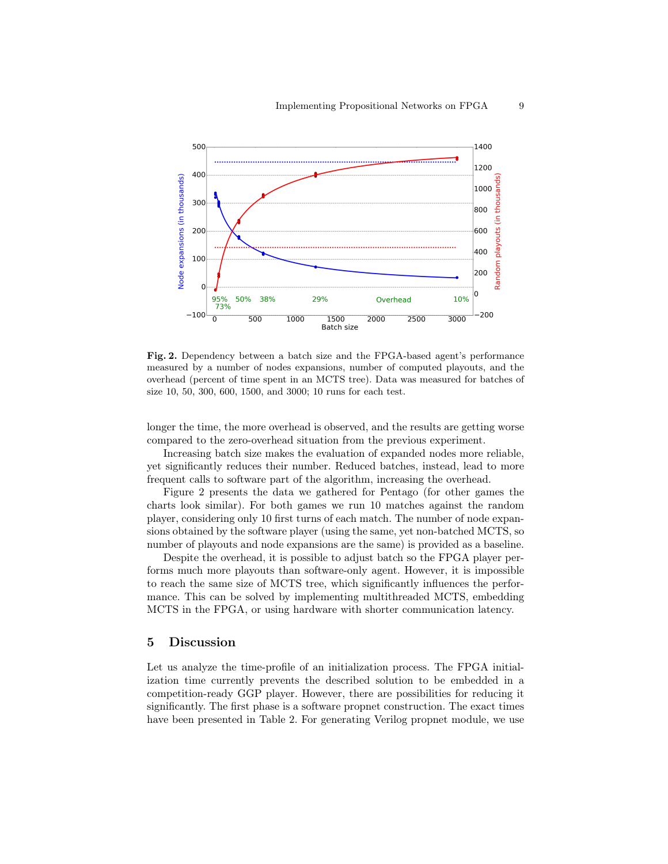

Fig. 2. Dependency between a batch size and the FPGA-based agent's performance measured by a number of nodes expansions, number of computed playouts, and the overhead (percent of time spent in an MCTS tree). Data was measured for batches of size 10, 50, 300, 600, 1500, and 3000; 10 runs for each test.

longer the time, the more overhead is observed, and the results are getting worse compared to the zero-overhead situation from the previous experiment.

Increasing batch size makes the evaluation of expanded nodes more reliable, yet significantly reduces their number. Reduced batches, instead, lead to more frequent calls to software part of the algorithm, increasing the overhead.

Figure 2 presents the data we gathered for Pentago (for other games the charts look similar). For both games we run 10 matches against the random player, considering only 10 first turns of each match. The number of node expansions obtained by the software player (using the same, yet non-batched MCTS, so number of playouts and node expansions are the same) is provided as a baseline.

Despite the overhead, it is possible to adjust batch so the FPGA player performs much more playouts than software-only agent. However, it is impossible to reach the same size of MCTS tree, which significantly influences the performance. This can be solved by implementing multithreaded MCTS, embedding MCTS in the FPGA, or using hardware with shorter communication latency.

## 5 Discussion

Let us analyze the time-profile of an initialization process. The FPGA initialization time currently prevents the described solution to be embedded in a competition-ready GGP player. However, there are possibilities for reducing it significantly. The first phase is a software propnet construction. The exact times have been presented in Table 2. For generating Verilog propnet module, we use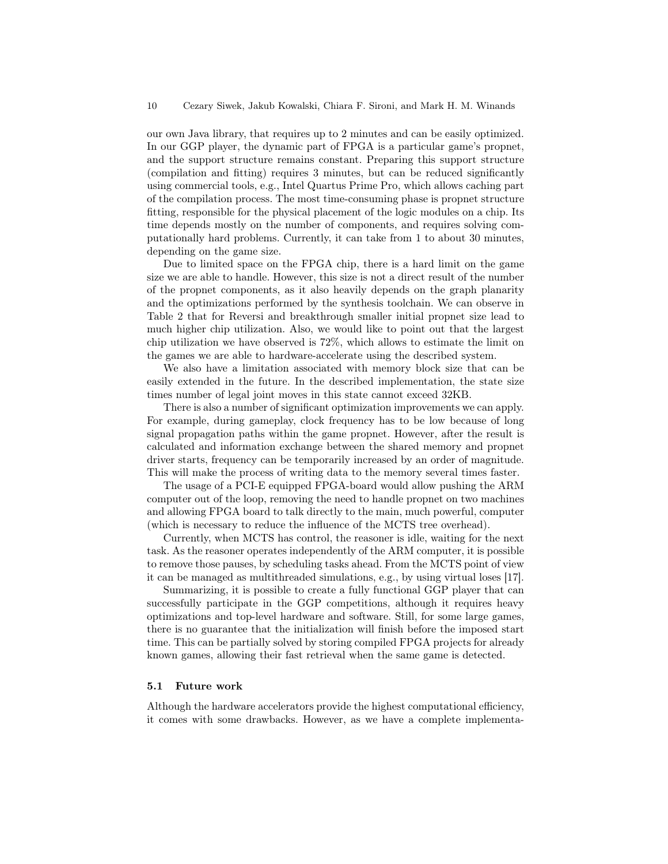our own Java library, that requires up to 2 minutes and can be easily optimized. In our GGP player, the dynamic part of FPGA is a particular game's propnet, and the support structure remains constant. Preparing this support structure (compilation and fitting) requires 3 minutes, but can be reduced significantly using commercial tools, e.g., Intel Quartus Prime Pro, which allows caching part of the compilation process. The most time-consuming phase is propnet structure fitting, responsible for the physical placement of the logic modules on a chip. Its time depends mostly on the number of components, and requires solving computationally hard problems. Currently, it can take from 1 to about 30 minutes, depending on the game size.

Due to limited space on the FPGA chip, there is a hard limit on the game size we are able to handle. However, this size is not a direct result of the number of the propnet components, as it also heavily depends on the graph planarity and the optimizations performed by the synthesis toolchain. We can observe in Table 2 that for Reversi and breakthrough smaller initial propnet size lead to much higher chip utilization. Also, we would like to point out that the largest chip utilization we have observed is 72%, which allows to estimate the limit on the games we are able to hardware-accelerate using the described system.

We also have a limitation associated with memory block size that can be easily extended in the future. In the described implementation, the state size times number of legal joint moves in this state cannot exceed 32KB.

There is also a number of significant optimization improvements we can apply. For example, during gameplay, clock frequency has to be low because of long signal propagation paths within the game propnet. However, after the result is calculated and information exchange between the shared memory and propnet driver starts, frequency can be temporarily increased by an order of magnitude. This will make the process of writing data to the memory several times faster.

The usage of a PCI-E equipped FPGA-board would allow pushing the ARM computer out of the loop, removing the need to handle propnet on two machines and allowing FPGA board to talk directly to the main, much powerful, computer (which is necessary to reduce the influence of the MCTS tree overhead).

Currently, when MCTS has control, the reasoner is idle, waiting for the next task. As the reasoner operates independently of the ARM computer, it is possible to remove those pauses, by scheduling tasks ahead. From the MCTS point of view it can be managed as multithreaded simulations, e.g., by using virtual loses [17].

Summarizing, it is possible to create a fully functional GGP player that can successfully participate in the GGP competitions, although it requires heavy optimizations and top-level hardware and software. Still, for some large games, there is no guarantee that the initialization will finish before the imposed start time. This can be partially solved by storing compiled FPGA projects for already known games, allowing their fast retrieval when the same game is detected.

#### 5.1 Future work

Although the hardware accelerators provide the highest computational efficiency, it comes with some drawbacks. However, as we have a complete implementa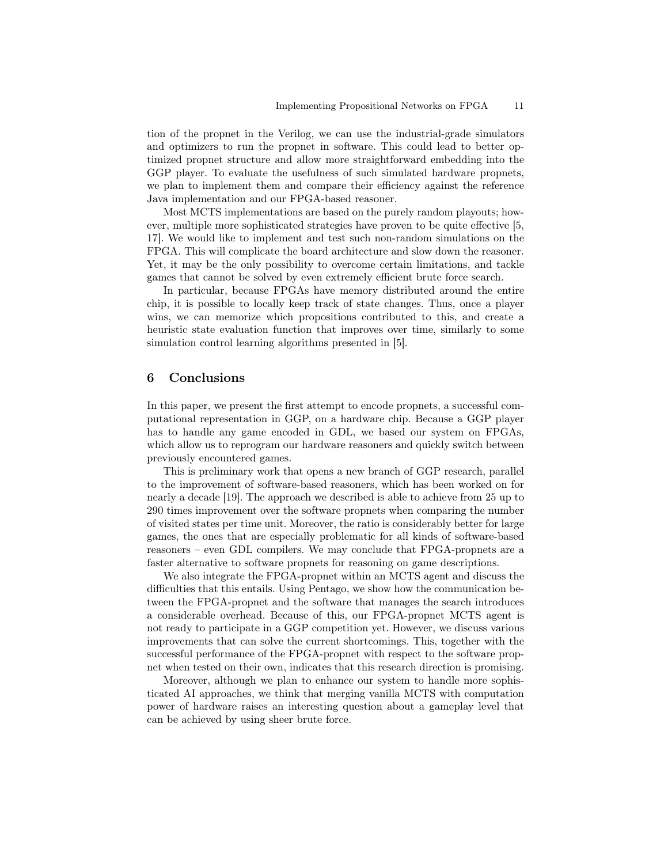tion of the propnet in the Verilog, we can use the industrial-grade simulators and optimizers to run the propnet in software. This could lead to better optimized propnet structure and allow more straightforward embedding into the GGP player. To evaluate the usefulness of such simulated hardware propnets, we plan to implement them and compare their efficiency against the reference Java implementation and our FPGA-based reasoner.

Most MCTS implementations are based on the purely random playouts; however, multiple more sophisticated strategies have proven to be quite effective [5, 17]. We would like to implement and test such non-random simulations on the FPGA. This will complicate the board architecture and slow down the reasoner. Yet, it may be the only possibility to overcome certain limitations, and tackle games that cannot be solved by even extremely efficient brute force search.

In particular, because FPGAs have memory distributed around the entire chip, it is possible to locally keep track of state changes. Thus, once a player wins, we can memorize which propositions contributed to this, and create a heuristic state evaluation function that improves over time, similarly to some simulation control learning algorithms presented in [5].

### 6 Conclusions

In this paper, we present the first attempt to encode propnets, a successful computational representation in GGP, on a hardware chip. Because a GGP player has to handle any game encoded in GDL, we based our system on FPGAs, which allow us to reprogram our hardware reasoners and quickly switch between previously encountered games.

This is preliminary work that opens a new branch of GGP research, parallel to the improvement of software-based reasoners, which has been worked on for nearly a decade [19]. The approach we described is able to achieve from 25 up to 290 times improvement over the software propnets when comparing the number of visited states per time unit. Moreover, the ratio is considerably better for large games, the ones that are especially problematic for all kinds of software-based reasoners – even GDL compilers. We may conclude that FPGA-propnets are a faster alternative to software propnets for reasoning on game descriptions.

We also integrate the FPGA-propnet within an MCTS agent and discuss the difficulties that this entails. Using Pentago, we show how the communication between the FPGA-propnet and the software that manages the search introduces a considerable overhead. Because of this, our FPGA-propnet MCTS agent is not ready to participate in a GGP competition yet. However, we discuss various improvements that can solve the current shortcomings. This, together with the successful performance of the FPGA-propnet with respect to the software propnet when tested on their own, indicates that this research direction is promising.

Moreover, although we plan to enhance our system to handle more sophisticated AI approaches, we think that merging vanilla MCTS with computation power of hardware raises an interesting question about a gameplay level that can be achieved by using sheer brute force.